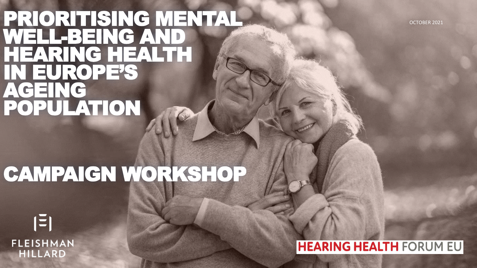### PRIORITISING MENTAL WELL-BEING AND HEARING HEALTH IN EUROPE'S AGEING POPULATION

# CAMPAIGN WORKSHOP

 $|\Xi|$ **FLEISHMAN HILLARD** 

**HEARING HEALTH FORUM EU** 

OCTOBER 2021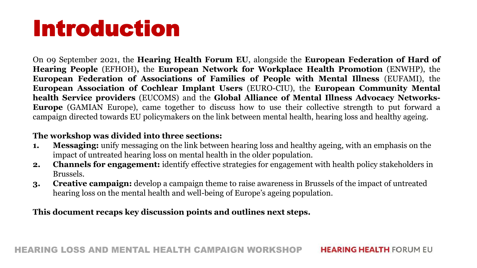# Introduction

On 09 September 2021, the **Hearing Health Forum EU**, alongside the **European Federation of Hard of Hearing People** (EFHOH)**,** the **European Network for Workplace Health Promotion** (ENWHP), the **European Federation of Associations of Families of People with Mental Illness** (EUFAMI), the **European Association of Cochlear Implant Users** (EURO-CIU), the **European Community Mental health Service providers** (EUCOMS) and the **Global Alliance of Mental Illness Advocacy Networks-Europe** (GAMIAN Europe), came together to discuss how to use their collective strength to put forward a campaign directed towards EU policymakers on the link between mental health, hearing loss and healthy ageing.

### **The workshop was divided into three sections:**

- **1. Messaging:** unify messaging on the link between hearing loss and healthy ageing, with an emphasis on the impact of untreated hearing loss on mental health in the older population.
- **2. Channels for engagement:** identify effective strategies for engagement with health policy stakeholders in Brussels.
- **3. Creative campaign:** develop a campaign theme to raise awareness in Brussels of the impact of untreated hearing loss on the mental health and well-being of Europe's ageing population.

**This document recaps key discussion points and outlines next steps.**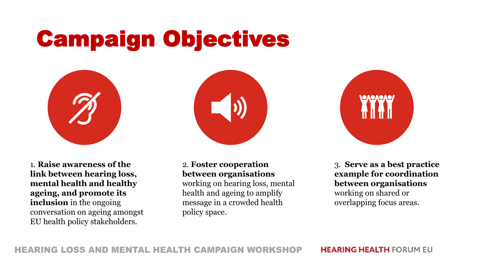# Campaign Objectives



1. **Raise awareness of the link between hearing loss, mental health and healthy ageing, and promote its inclusion** in the ongoing conversation on ageing amongst EU health policy stakeholders.



2. **Foster cooperation between organisations** working on hearing loss, mental

health and ageing to amplify message in a crowded health policy space.



3. **Serve as a best practice example for coordination between organisations** working on shared or overlapping focus areas.

HEARING LOSS AND MENTAL HEALTH CAMPAIGN WORKSHOP

**HEARING HEALTH FORUM EU**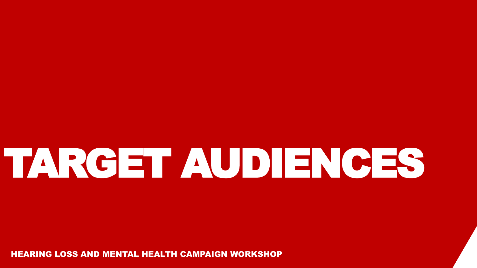# TARGET AUDIENCES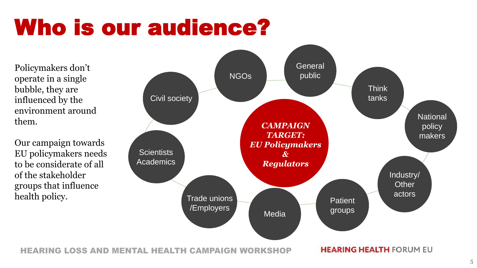# Who is our audience?

Policymakers don't operate in a single bubble, they are influenced by the environment around them.

Our campaign towards EU policymakers needs to be considerate of all of the stakeholder groups that influence



HEARING LOSS AND MENTAL HEALTH CAMPAIGN WORKSHOP

**HEARING HEALTH FORUM EU**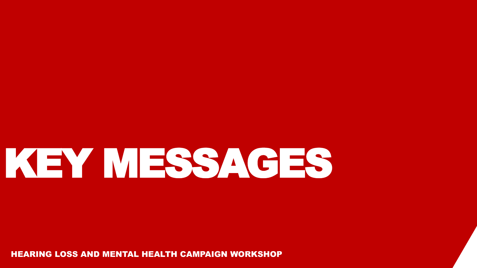# KEY MESSAGES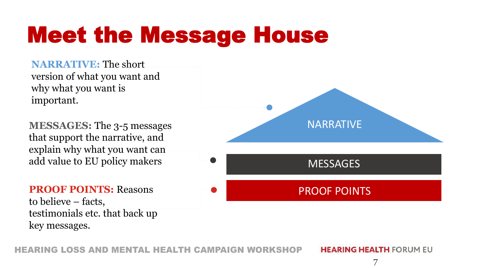# Meet the Message House

**NARRATIVE:** The short version of what you want and why what you want is important.

**MESSAGES:** The 3-5 messages that support the narrative, and explain why what you want can add value to EU policy makers

**PROOF POINTS:** Reasons to believe – facts, testimonials etc. that back up key messages.



RING LOSS AND MENTAL HEALTH CAMPAIGN WORKSH

**HEARING HEALTH FORUM EU**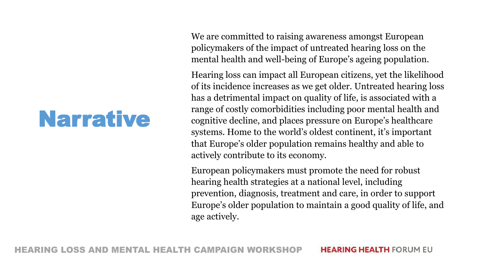## Narrative

We are committed to raising awareness amongst European policymakers of the impact of untreated hearing loss on the mental health and well-being of Europe's ageing population.

Hearing loss can impact all European citizens, yet the likelihood of its incidence increases as we get older. Untreated hearing loss has a detrimental impact on quality of life, is associated with a range of costly comorbidities including poor mental health and cognitive decline, and places pressure on Europe's healthcare systems. Home to the world's oldest continent, it's important that Europe's older population remains healthy and able to actively contribute to its economy.

European policymakers must promote the need for robust hearing health strategies at a national level, including prevention, diagnosis, treatment and care, in order to support Europe's older population to maintain a good quality of life, and age actively.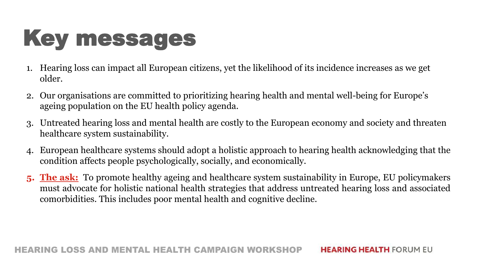# Key messages

- 1. Hearing loss can impact all European citizens, yet the likelihood of its incidence increases as we get older.
- 2. Our organisations are committed to prioritizing hearing health and mental well-being for Europe's ageing population on the EU health policy agenda.
- 3. Untreated hearing loss and mental health are costly to the European economy and society and threaten healthcare system sustainability.
- 4. European healthcare systems should adopt a holistic approach to hearing health acknowledging that the condition affects people psychologically, socially, and economically.
- **5. The ask:** To promote healthy ageing and healthcare system sustainability in Europe, EU policymakers must advocate for holistic national health strategies that address untreated hearing loss and associated comorbidities. This includes poor mental health and cognitive decline.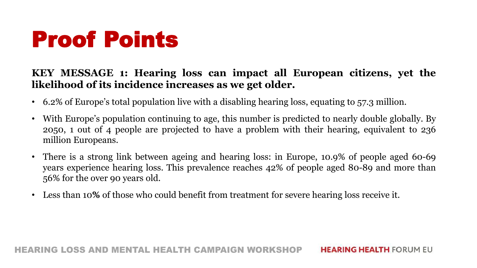### **KEY MESSAGE 1: Hearing loss can impact all European citizens, yet the likelihood of its incidence increases as we get older.**

- 6.2% of Europe's total population live with a disabling hearing loss, equating to 57.3 million.
- With Europe's population continuing to age, this number is predicted to nearly double globally. By 2050, 1 out of 4 people are projected to have a problem with their hearing, equivalent to 236 million Europeans.
- There is a strong link between ageing and hearing loss: in Europe, 10.9% of people aged 60-69 years experience hearing loss. This prevalence reaches 42% of people aged 80-89 and more than 56% for the over 90 years old.
- Less than 10**%** of those who could benefit from treatment for severe hearing loss receive it.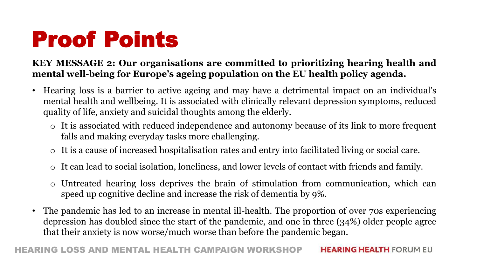### **KEY MESSAGE 2: Our organisations are committed to prioritizing hearing health and mental well-being for Europe's ageing population on the EU health policy agenda.**

- Hearing loss is a barrier to active ageing and may have a detrimental impact on an individual's mental health and wellbeing. It is associated with clinically relevant depression symptoms, reduced quality of life, anxiety and suicidal thoughts among the elderly.
	- o It is associated with reduced independence and autonomy because of its link to more frequent falls and making everyday tasks more challenging.
	- o It is a cause of increased hospitalisation rates and entry into facilitated living or social care.
	- o It can lead to social isolation, loneliness, and lower levels of contact with friends and family.
	- Untreated hearing loss deprives the brain of stimulation from communication, which can speed up cognitive decline and increase the risk of dementia by 9%.
- The pandemic has led to an increase in mental ill-health. The proportion of over 70s experiencing depression has doubled since the start of the pandemic, and one in three (34%) older people agree that their anxiety is now worse/much worse than before the pandemic began.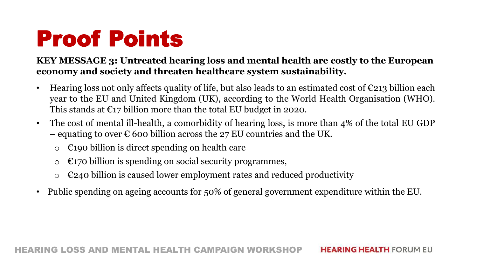### **KEY MESSAGE 3: Untreated hearing loss and mental health are costly to the European economy and society and threaten healthcare system sustainability.**

- Hearing loss not only affects quality of life, but also leads to an estimated cost of  $\epsilon$ 213 billion each year to the EU and United Kingdom (UK), according to the World Health Organisation (WHO). This stands at  $E17$  billion more than the total EU budget in 2020.
- The cost of mental ill-health, a comorbidity of hearing loss, is more than 4% of the total EU GDP – equating to over  $\epsilon$  600 billion across the 27 EU countries and the UK.
	- $\circ$   $\epsilon$ 190 billion is direct spending on health care
	- $\circ$   $\epsilon$ 170 billion is spending on social security programmes,
	- $\epsilon$ 240 billion is caused lower employment rates and reduced productivity
- Public spending on ageing accounts for 50% of general government expenditure within the EU.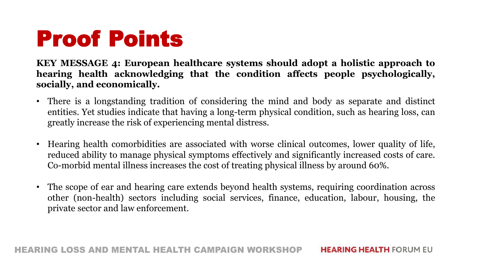**KEY MESSAGE 4: European healthcare systems should adopt a holistic approach to hearing health acknowledging that the condition affects people psychologically, socially, and economically.**

- There is a longstanding tradition of considering the mind and body as separate and distinct entities. Yet studies indicate that having a long-term physical condition, such as hearing loss, can greatly increase the risk of experiencing mental distress.
- Hearing health comorbidities are associated with worse clinical outcomes, lower quality of life, reduced ability to manage physical symptoms effectively and significantly increased costs of care. Co-morbid mental illness increases the cost of treating physical illness by around 60%.
- The scope of ear and hearing care extends beyond health systems, requiring coordination across other (non-health) sectors including social services, finance, education, labour, housing, the private sector and law enforcement.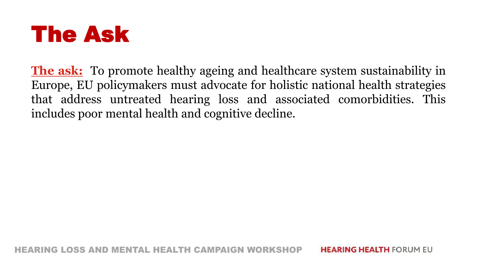

**The ask:** To promote healthy ageing and healthcare system sustainability in Europe, EU policymakers must advocate for holistic national health strategies that address untreated hearing loss and associated comorbidities. This includes poor mental health and cognitive decline.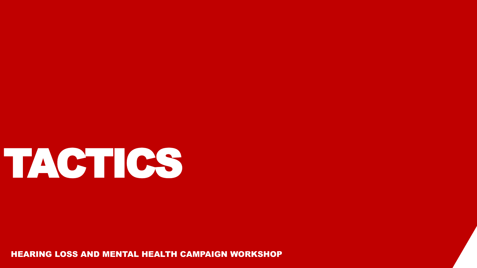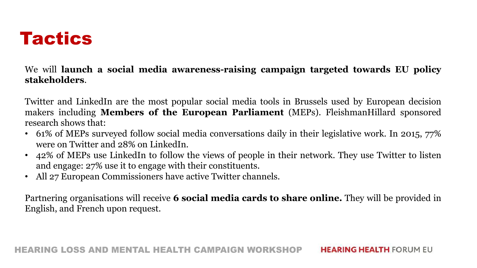

We will **launch a social media awareness-raising campaign targeted towards EU policy stakeholders**.

Twitter and LinkedIn are the most popular social media tools in Brussels used by European decision makers including **Members of the European Parliament** (MEPs). FleishmanHillard sponsored research shows that:

- 61% of MEPs surveyed follow social media conversations daily in their legislative work. In 2015, 77% were on Twitter and 28% on LinkedIn.
- 42% of MEPs use LinkedIn to follow the views of people in their network. They use Twitter to listen and engage: 27% use it to engage with their constituents.
- All 27 European Commissioners have active Twitter channels.

Partnering organisations will receive **6 social media cards to share online.** They will be provided in English, and French upon request.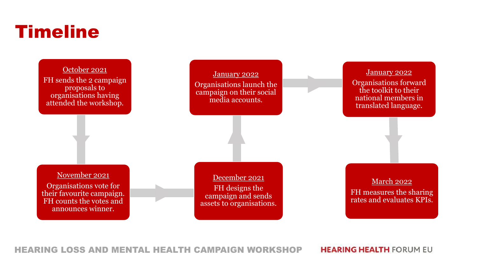### **Timeline**



HEARING LOSS AND MENTAL HEALTH CAMPAIGN WORKSHOP

**HEARING HEALTH FORUM EU**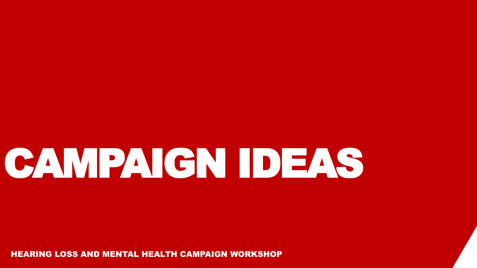# CAMPAIGN IDEAS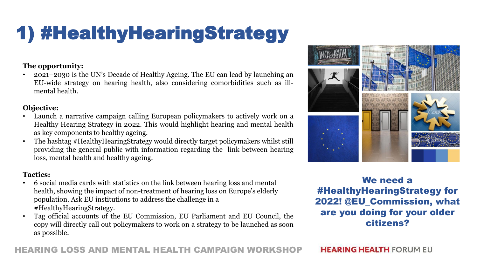## 1) #HealthyHearingStrategy

### **The opportunity:**

• 2021–2030 is the UN's Decade of Healthy Ageing. The EU can lead by launching an EU-wide strategy on hearing health, also considering comorbidities such as illmental health.

#### **Objective:**

- Launch a narrative campaign calling European policymakers to actively work on a Healthy Hearing Strategy in 2022. This would highlight hearing and mental health as key components to healthy ageing.
- The hashtag #HealthyHearingStrategy would directly target policymakers whilst still providing the general public with information regarding the link between hearing loss, mental health and healthy ageing.

### **Tactics:**

- 6 social media cards with statistics on the link between hearing loss and mental health, showing the impact of non-treatment of hearing loss on Europe's elderly population. Ask EU institutions to address the challenge in a #HealthyHearingStrategy.
- Tag official accounts of the EU Commission, EU Parliament and EU Council, the copy will directly call out policymakers to work on a strategy to be launched as soon as possible.



We need a #HealthyHearingStrategy for 2022! @EU\_Commission, what are you doing for your older citizens?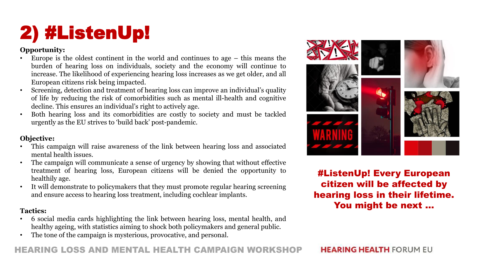## 2) #ListenUp!

### **Opportunity:**

- Europe is the oldest continent in the world and continues to age  $-$  this means the burden of hearing loss on individuals, society and the economy will continue to increase. The likelihood of experiencing hearing loss increases as we get older, and all European citizens risk being impacted.
- Screening, detection and treatment of hearing loss can improve an individual's quality of life by reducing the risk of comorbidities such as mental ill-health and cognitive decline. This ensures an individual's right to actively age.
- Both hearing loss and its comorbidities are costly to society and must be tackled urgently as the EU strives to 'build back' post-pandemic.

### **Objective:**

- This campaign will raise awareness of the link between hearing loss and associated mental health issues.
- The campaign will communicate a sense of urgency by showing that without effective treatment of hearing loss, European citizens will be denied the opportunity to healthily age.
- It will demonstrate to policymakers that they must promote regular hearing screening and ensure access to hearing loss treatment, including cochlear implants.

### **Tactics:**

- 6 social media cards highlighting the link between hearing loss, mental health, and healthy ageing, with statistics aiming to shock both policymakers and general public.
- The tone of the campaign is mysterious, provocative, and personal.



#ListenUp! Every European citizen will be affected by hearing loss in their lifetime. You might be next …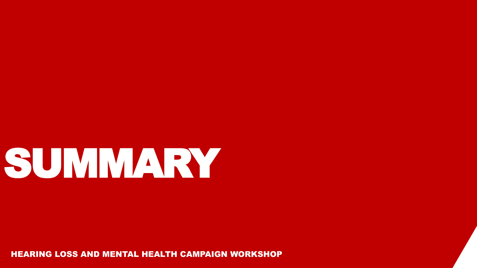# SUMMARY